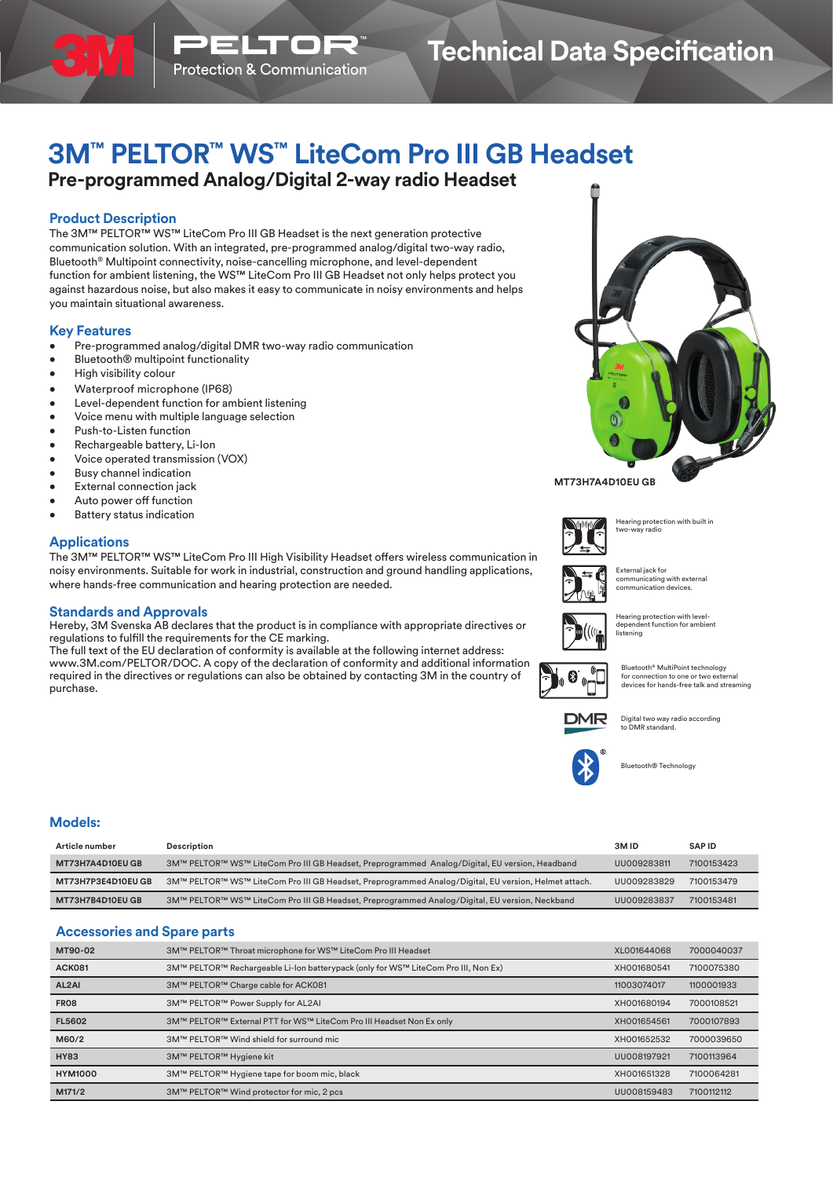# **3M™ PELTOR™ WS™ LiteCom Pro III GB Headset**

# **Pre-programmed Analog/Digital 2-way radio Headset**

# **Product Description**

The 3M™ PELTOR™ WS™ LiteCom Pro III GB Headset is the next generation protective communication solution. With an integrated, pre-programmed analog/digital two-way radio, Bluetooth® Multipoint connectivity, noise-cancelling microphone, and level-dependent function for ambient listening, the WS™ LiteCom Pro III GB Headset not only helps protect you against hazardous noise, but also makes it easy to communicate in noisy environments and helps you maintain situational awareness.

# **Key Features**

- Pre-programmed analog/digital DMR two-way radio communication
- Bluetooth® multipoint functionality
- High visibility colour
- Waterproof microphone (IP68)
- Level-dependent function for ambient listening
- Voice menu with multiple language selection
- Push-to-Listen function
- Rechargeable battery, Li-Ion
- Voice operated transmission (VOX)
- Busy channel indication
- External connection jack
- Auto power off function
- **Battery status indication**

## **Applications**

The 3M™ PELTOR™ WS™ LiteCom Pro III High Visibility Headset offers wireless communication in noisy environments. Suitable for work in industrial, construction and ground handling applications, where hands-free communication and hearing protection are needed.

### **Standards and Approvals**

Hereby, 3M Svenska AB declares that the product is in compliance with appropriate directives or regulations to fulfill the requirements for the CE marking.

The full text of the EU declaration of conformity is available at the following internet address: www.3M.com/PELTOR/DOC. A copy of the declaration of conformity and additional information required in the directives or regulations can also be obtained by contacting 3M in the country of purchase.



### **MT73H7A4D10EU GB**







External jack for communicating with external communication devices.

Hearing protection with level-dependent function for ambient **listening** 

Bluetooth® MultiPoint technology for connection to one or two external devices for hands-free talk and streaming



Digital two way radio according to DMR standard.



Bluetooth® Technology

### **Models:**

| Article number            | Description                                                                                          | 3M ID       | <b>SAPID</b> |
|---------------------------|------------------------------------------------------------------------------------------------------|-------------|--------------|
| MT73H7A4D10EU GB          | 3M™ PELTOR™ WS™ LiteCom Pro III GB Headset, Preprogrammed Analog/Digital, EU version, Headband       | UU009283811 | 7100153423   |
| <b>MT73H7P3E4D10EU GB</b> | 3M™ PELTOR™ WS™ LiteCom Pro III GB Headset, Preprogrammed Analog/Digital, EU version, Helmet attach. | UU009283829 | 7100153479   |
| <b>MT73H7B4D10EU GB</b>   | 3M™ PELTOR™ WS™ LiteCom Pro III GB Headset, Preprogrammed Analog/Digital, EU version, Neckband       | UU009283837 | 7100153481   |

# **Accessories and Spare parts**

| MT90-02            | 3M™ PELTOR™ Throat microphone for WS™ LiteCom Pro III Headset                      | XL001644068 | 7000040037 |
|--------------------|------------------------------------------------------------------------------------|-------------|------------|
| <b>ACK081</b>      | 3M™ PELTOR™ Rechargeable Li-Ion batterypack (only for WS™ LiteCom Pro III, Non Ex) | XH001680541 | 7100075380 |
| AL <sub>2</sub> AI | 3M™ PELTOR™ Charge cable for ACK081                                                | 11003074017 | 1100001933 |
| <b>FR08</b>        | 3M™ PELTOR™ Power Supply for AL2AI                                                 | XH001680194 | 7000108521 |
| <b>FL5602</b>      | 3M™ PELTOR™ External PTT for WS™ LiteCom Pro III Headset Non Ex only               | XH001654561 | 7000107893 |
| M60/2              | 3M™ PELTOR™ Wind shield for surround mic                                           | XH001652532 | 7000039650 |
| <b>HY83</b>        | 3M™ PELTOR™ Hygiene kit                                                            | UU008197921 | 7100113964 |
| <b>HYM1000</b>     | 3M™ PELTOR™ Hygiene tape for boom mic, black                                       | XH001651328 | 7100064281 |
| M171/2             | 3M™ PELTOR™ Wind protector for mic, 2 pcs                                          | UU008159483 | 7100112112 |